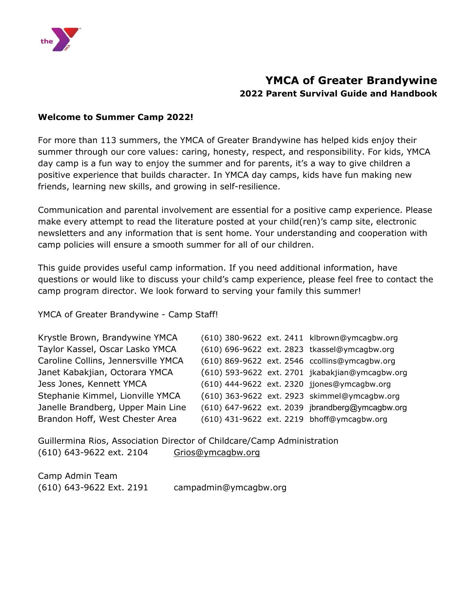

### **YMCA of Greater Brandywine 2022 Parent Survival Guide and Handbook**

#### **Welcome to Summer Camp 2022!**

For more than 113 summers, the YMCA of Greater Brandywine has helped kids enjoy their summer through our core values: caring, honesty, respect, and responsibility. For kids, YMCA day camp is a fun way to enjoy the summer and for parents, it's a way to give children a positive experience that builds character. In YMCA day camps, kids have fun making new friends, learning new skills, and growing in self-resilience.

Communication and parental involvement are essential for a positive camp experience. Please make every attempt to read the literature posted at your child(ren)'s camp site, electronic newsletters and any information that is sent home. Your understanding and cooperation with camp policies will ensure a smooth summer for all of our children.

This guide provides useful camp information. If you need additional information, have questions or would like to discuss your child's camp experience, please feel free to contact the camp program director. We look forward to serving your family this summer!

YMCA of Greater Brandywine - Camp Staff!

| Krystle Brown, Brandywine YMCA      |  | (610) 380-9622 ext. 2411 klbrown@ymcagbw.org    |
|-------------------------------------|--|-------------------------------------------------|
| Taylor Kassel, Oscar Lasko YMCA     |  | (610) 696-9622 ext. 2823 tkassel@ymcagbw.org    |
| Caroline Collins, Jennersville YMCA |  | (610) 869-9622 ext. 2546 ccollins@ymcagbw.org   |
| Janet Kabakjian, Octorara YMCA      |  | (610) 593-9622 ext. 2701 jkabakjian@ymcagbw.org |
| Jess Jones, Kennett YMCA            |  | (610) 444-9622 ext. 2320 jjones@ymcagbw.org     |
| Stephanie Kimmel, Lionville YMCA    |  | (610) 363-9622 ext. 2923 skimmel@ymcagbw.org    |
| Janelle Brandberg, Upper Main Line  |  | (610) 647-9622 ext. 2039 jbrandberg@ymcagbw.org |
| Brandon Hoff, West Chester Area     |  | (610) 431-9622 ext. 2219 bhoff@ymcagbw.org      |

Guillermina Rios, Association Director of Childcare/Camp Administration (610) 643-9622 ext. 2104 [Grios@ymcagbw.org](mailto:Grios@ymcagbw.org)

Camp Admin Team (610) 643-9622 Ext. 2191 campadmin@ymcagbw.org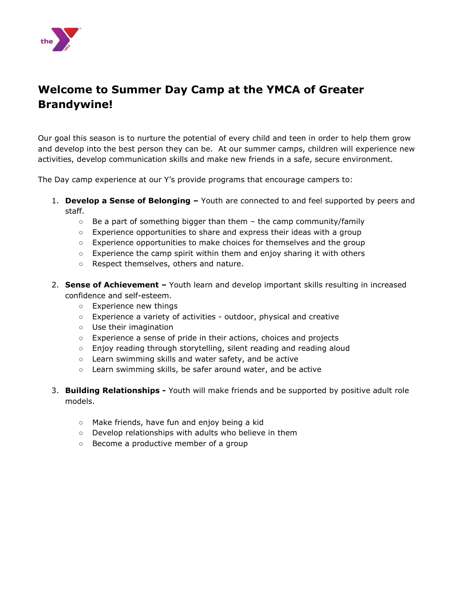

### **Welcome to Summer Day Camp at the YMCA of Greater Brandywine!**

Our goal this season is to nurture the potential of every child and teen in order to help them grow and develop into the best person they can be. At our summer camps, children will experience new activities, develop communication skills and make new friends in a safe, secure environment.

The Day camp experience at our Y's provide programs that encourage campers to:

- 1. **Develop a Sense of Belonging –** Youth are connected to and feel supported by peers and staff.
	- $\circ$  Be a part of something bigger than them the camp community/family
	- Experience opportunities to share and express their ideas with a group
	- $\circ$  Experience opportunities to make choices for themselves and the group
	- Experience the camp spirit within them and enjoy sharing it with others
	- Respect themselves, others and nature.
- 2. **Sense of Achievement –** Youth learn and develop important skills resulting in increased confidence and self-esteem.
	- Experience new things
	- Experience a variety of activities outdoor, physical and creative
	- Use their imagination
	- Experience a sense of pride in their actions, choices and projects
	- Enjoy reading through storytelling, silent reading and reading aloud
	- Learn swimming skills and water safety, and be active
	- Learn swimming skills, be safer around water, and be active
- 3. **Building Relationships -** Youth will make friends and be supported by positive adult role models.
	- Make friends, have fun and enjoy being a kid
	- Develop relationships with adults who believe in them
	- Become a productive member of a group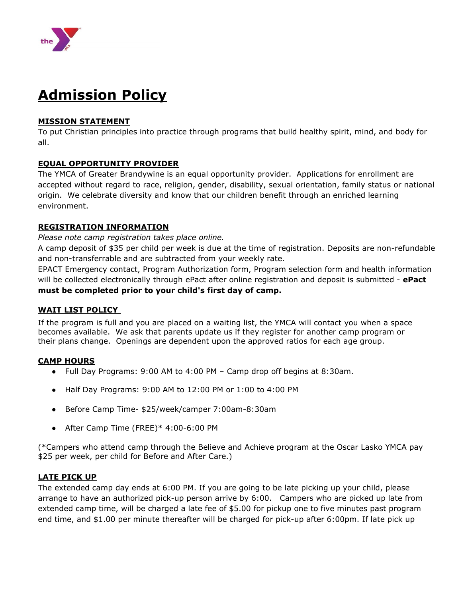

# **Admission Policy**

#### **MISSION STATEMENT**

To put Christian principles into practice through programs that build healthy spirit, mind, and body for all.

#### **EQUAL OPPORTUNITY PROVIDER**

The YMCA of Greater Brandywine is an equal opportunity provider. Applications for enrollment are accepted without regard to race, religion, gender, disability, sexual orientation, family status or national origin. We celebrate diversity and know that our children benefit through an enriched learning environment.

#### **REGISTRATION INFORMATION**

#### *Please note camp registration takes place online.*

A camp deposit of \$35 per child per week is due at the time of registration. Deposits are non-refundable and non-transferrable and are subtracted from your weekly rate.

EPACT Emergency contact, Program Authorization form, Program selection form and health information will be collected electronically through ePact after online registration and deposit is submitted - **ePact must be completed prior to your child's first day of camp.**

#### **WAIT LIST POLICY**

If the program is full and you are placed on a waiting list, the YMCA will contact you when a space becomes available. We ask that parents update us if they register for another camp program or their plans change. Openings are dependent upon the approved ratios for each age group.

#### **CAMP HOURS**

- Full Day Programs: 9:00 AM to 4:00 PM Camp drop off begins at 8:30am.
- Half Day Programs: 9:00 AM to 12:00 PM or 1:00 to 4:00 PM
- Before Camp Time- \$25/week/camper 7:00am-8:30am
- After Camp Time (FREE)\* 4:00-6:00 PM

(\*Campers who attend camp through the Believe and Achieve program at the Oscar Lasko YMCA pay \$25 per week, per child for Before and After Care.)

#### **LATE PICK UP**

The extended camp day ends at 6:00 PM. If you are going to be late picking up your child, please arrange to have an authorized pick-up person arrive by 6:00. Campers who are picked up late from extended camp time, will be charged a late fee of \$5.00 for pickup one to five minutes past program end time, and \$1.00 per minute thereafter will be charged for pick-up after 6:00pm. If late pick up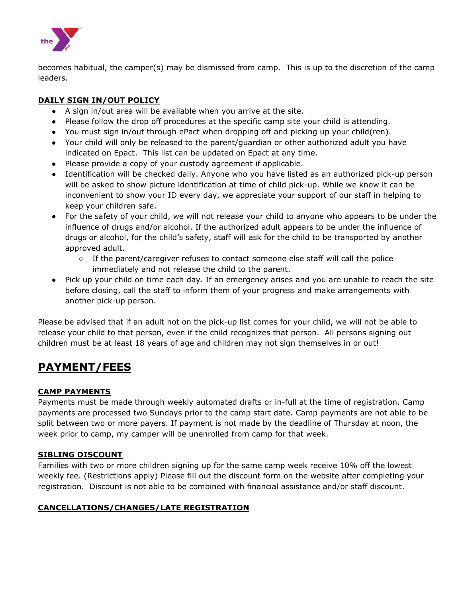

becomes habitual, the camper(s) may be dismissed from camp. This is up to the discretion of the camp leaders.

#### **DAILY SIGN IN/OUT POLICY**

- A sign in/out area will be available when you arrive at the site.
- Please follow the drop off procedures at the specific camp site your child is attending.
- You must sign in/out through ePact when dropping off and picking up your child(ren).
- Your child will only be released to the parent/guardian or other authorized adult you have indicated on Epact. This list can be updated on Epact at any time.
- Please provide a copy of your custody agreement if applicable.
- Identification will be checked daily. Anyone who you have listed as an authorized pick-up person will be asked to show picture identification at time of child pick-up. While we know it can be inconvenient to show your ID every day, we appreciate your support of our staff in helping to keep your children safe.
- For the safety of your child, we will not release your child to anyone who appears to be under the influence of drugs and/or alcohol. If the authorized adult appears to be under the influence of drugs or alcohol, for the child's safety, staff will ask for the child to be transported by another approved adult.
	- If the parent/caregiver refuses to contact someone else staff will call the police immediately and not release the child to the parent.
- Pick up your child on time each day. If an emergency arises and you are unable to reach the site before closing, call the staff to inform them of your progress and make arrangements with another pick-up person.

Please be advised that if an adult not on the pick-up list comes for your child, we will not be able to release your child to that person, even if the child recognizes that person. All persons signing out children must be at least 18 years of age and children may not sign themselves in or out!

### **PAYMENT/FEES**

#### **CAMP PAYMENTS**

Payments must be made through weekly automated drafts or in-full at the time of registration. Camp payments are processed two Sundays prior to the camp start date. Camp payments are not able to be split between two or more payers. If payment is not made by the deadline of Thursday at noon, the week prior to camp, my camper will be unenrolled from camp for that week.

#### **SIBLING DISCOUNT**

Families with two or more children signing up for the same camp week receive 10% off the lowest weekly fee. (Restrictions apply) Please fill out the discount form on the website after completing your registration. Discount is not able to be combined with financial assistance and/or staff discount.

#### **CANCELLATIONS/CHANGES/LATE REGISTRATION**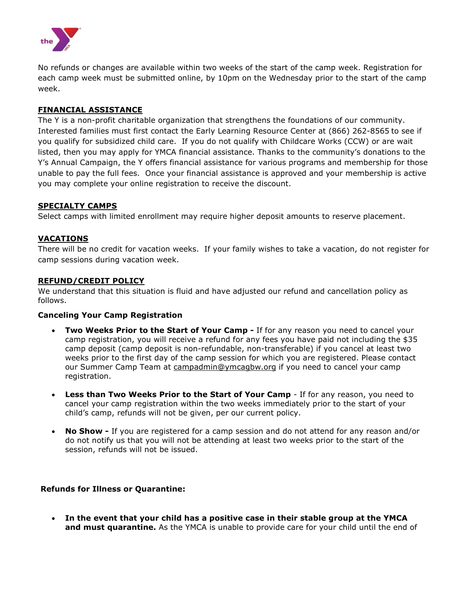

No refunds or changes are available within two weeks of the start of the camp week. Registration for each camp week must be submitted online, by 10pm on the Wednesday prior to the start of the camp week.

#### **FINANCIAL ASSISTANCE**

The Y is a non-profit charitable organization that strengthens the foundations of our community. Interested families must first contact the Early Learning Resource Center at (866) 262-8565 to see if you qualify for subsidized child care. If you do not qualify with Childcare Works (CCW) or are wait listed, then you may apply for YMCA financial assistance. Thanks to the community's donations to the Y's Annual Campaign, the Y offers financial assistance for various programs and membership for those unable to pay the full fees. Once your financial assistance is approved and your membership is active you may complete your online registration to receive the discount.

#### **SPECIALTY CAMPS**

Select camps with limited enrollment may require higher deposit amounts to reserve placement.

#### **VACATIONS**

There will be no credit for vacation weeks. If your family wishes to take a vacation, do not register for camp sessions during vacation week.

#### **REFUND/CREDIT POLICY**

We understand that this situation is fluid and have adjusted our refund and cancellation policy as follows.

#### **Canceling Your Camp Registration**

- **Two Weeks Prior to the Start of Your Camp -** If for any reason you need to cancel your camp registration, you will receive a refund for any fees you have paid not including the \$35 camp deposit (camp deposit is non-refundable, non-transferable) if you cancel at least two weeks prior to the first day of the camp session for which you are registered. Please contact our Summer Camp Team at [campadmin@ymcagbw.org](mailto:campadmin@ymcagbw.org) if you need to cancel your camp registration.
- **Less than Two Weeks Prior to the Start of Your Camp** If for any reason, you need to cancel your camp registration within the two weeks immediately prior to the start of your child's camp, refunds will not be given, per our current policy.
- **No Show -** If you are registered for a camp session and do not attend for any reason and/or do not notify us that you will not be attending at least two weeks prior to the start of the session, refunds will not be issued.

#### **Refunds for Illness or Quarantine:**

• **In the event that your child has a positive case in their stable group at the YMCA and must quarantine.** As the YMCA is unable to provide care for your child until the end of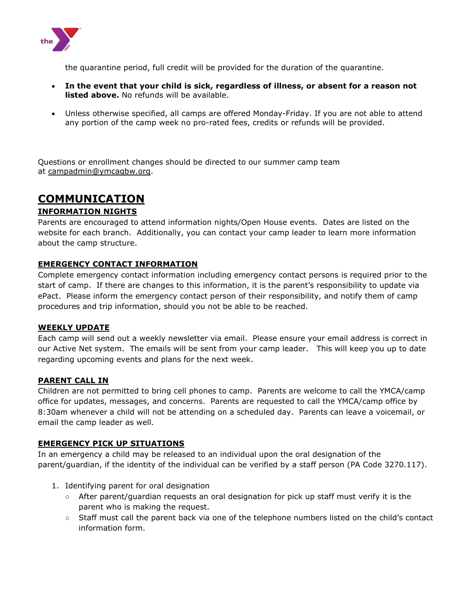

the quarantine period, full credit will be provided for the duration of the quarantine.

- **In the event that your child is sick, regardless of illness, or absent for a reason not listed above.** No refunds will be available.
- Unless otherwise specified, all camps are offered Monday-Friday. If you are not able to attend any portion of the camp week no pro-rated fees, credits or refunds will be provided.

Questions or enrollment changes should be directed to our summer camp team at [campadmin@ymcagbw.org.](mailto:campadmin@ymcagbw.org)

## **COMMUNICATION**

#### **INFORMATION NIGHTS**

Parents are encouraged to attend information nights/Open House events. Dates are listed on the website for each branch. Additionally, you can contact your camp leader to learn more information about the camp structure.

#### **EMERGENCY CONTACT INFORMATION**

Complete emergency contact information including emergency contact persons is required prior to the start of camp. If there are changes to this information, it is the parent's responsibility to update via ePact. Please inform the emergency contact person of their responsibility, and notify them of camp procedures and trip information, should you not be able to be reached.

#### **WEEKLY UPDATE**

Each camp will send out a weekly newsletter via email. Please ensure your email address is correct in our Active Net system. The emails will be sent from your camp leader. This will keep you up to date regarding upcoming events and plans for the next week.

#### **PARENT CALL IN**

Children are not permitted to bring cell phones to camp. Parents are welcome to call the YMCA/camp office for updates, messages, and concerns. Parents are requested to call the YMCA/camp office by 8:30am whenever a child will not be attending on a scheduled day. Parents can leave a voicemail, or email the camp leader as well.

#### **EMERGENCY PICK UP SITUATIONS**

In an emergency a child may be released to an individual upon the oral designation of the parent/guardian, if the identity of the individual can be verified by a staff person (PA Code 3270.117).

- 1. Identifying parent for oral designation
	- After parent/guardian requests an oral designation for pick up staff must verify it is the parent who is making the request.
	- Staff must call the parent back via one of the telephone numbers listed on the child's contact information form.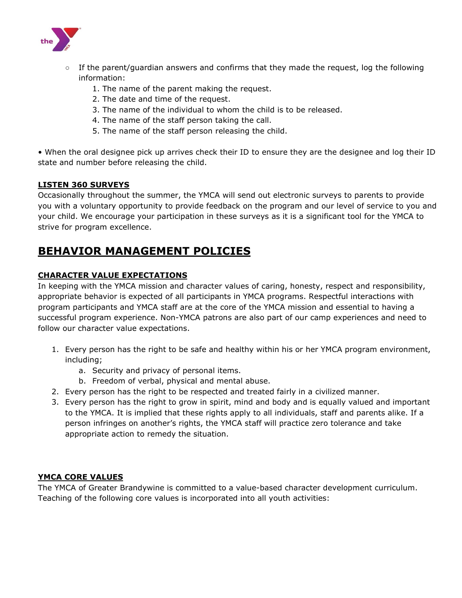

- If the parent/quardian answers and confirms that they made the request, log the following information:
	- 1. The name of the parent making the request.
	- 2. The date and time of the request.
	- 3. The name of the individual to whom the child is to be released.
	- 4. The name of the staff person taking the call.
	- 5. The name of the staff person releasing the child.

• When the oral designee pick up arrives check their ID to ensure they are the designee and log their ID state and number before releasing the child.

#### **LISTEN 360 SURVEYS**

Occasionally throughout the summer, the YMCA will send out electronic surveys to parents to provide you with a voluntary opportunity to provide feedback on the program and our level of service to you and your child. We encourage your participation in these surveys as it is a significant tool for the YMCA to strive for program excellence.

### **BEHAVIOR MANAGEMENT POLICIES**

#### **CHARACTER VALUE EXPECTATIONS**

In keeping with the YMCA mission and character values of caring, honesty, respect and responsibility, appropriate behavior is expected of all participants in YMCA programs. Respectful interactions with program participants and YMCA staff are at the core of the YMCA mission and essential to having a successful program experience. Non-YMCA patrons are also part of our camp experiences and need to follow our character value expectations.

- 1. Every person has the right to be safe and healthy within his or her YMCA program environment, including;
	- a. Security and privacy of personal items.
	- b. Freedom of verbal, physical and mental abuse.
- 2. Every person has the right to be respected and treated fairly in a civilized manner.
- 3. Every person has the right to grow in spirit, mind and body and is equally valued and important to the YMCA. It is implied that these rights apply to all individuals, staff and parents alike. If a person infringes on another's rights, the YMCA staff will practice zero tolerance and take appropriate action to remedy the situation.

#### **YMCA CORE VALUES**

The YMCA of Greater Brandywine is committed to a value-based character development curriculum. Teaching of the following core values is incorporated into all youth activities: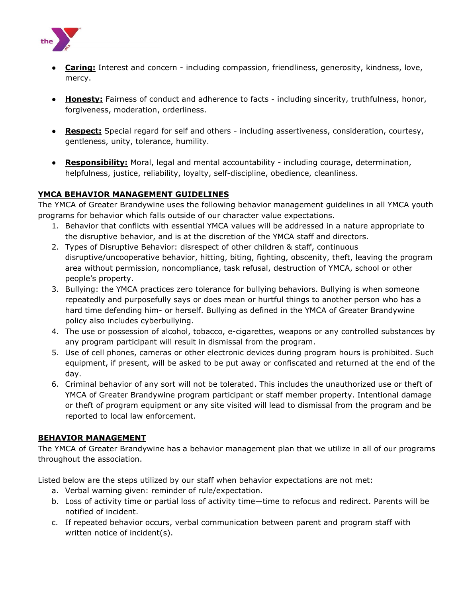

- **Caring:** Interest and concern including compassion, friendliness, generosity, kindness, love, mercy.
- **Honesty:** Fairness of conduct and adherence to facts including sincerity, truthfulness, honor, forgiveness, moderation, orderliness.
- **Respect:** Special regard for self and others including assertiveness, consideration, courtesy, gentleness, unity, tolerance, humility.
- **Responsibility:** Moral, legal and mental accountability including courage, determination, helpfulness, justice, reliability, loyalty, self-discipline, obedience, cleanliness.

#### **YMCA BEHAVIOR MANAGEMENT GUIDELINES**

The YMCA of Greater Brandywine uses the following behavior management guidelines in all YMCA youth programs for behavior which falls outside of our character value expectations.

- 1. Behavior that conflicts with essential YMCA values will be addressed in a nature appropriate to the disruptive behavior, and is at the discretion of the YMCA staff and directors.
- 2. Types of Disruptive Behavior: disrespect of other children & staff, continuous disruptive/uncooperative behavior, hitting, biting, fighting, obscenity, theft, leaving the program area without permission, noncompliance, task refusal, destruction of YMCA, school or other people's property.
- 3. Bullying: the YMCA practices zero tolerance for bullying behaviors. Bullying is when someone repeatedly and purposefully says or does mean or hurtful things to another person who has a hard time defending him- or herself. Bullying as defined in the YMCA of Greater Brandywine policy also includes cyberbullying.
- 4. The use or possession of alcohol, tobacco, e-cigarettes, weapons or any controlled substances by any program participant will result in dismissal from the program.
- 5. Use of cell phones, cameras or other electronic devices during program hours is prohibited. Such equipment, if present, will be asked to be put away or confiscated and returned at the end of the day.
- 6. Criminal behavior of any sort will not be tolerated. This includes the unauthorized use or theft of YMCA of Greater Brandywine program participant or staff member property. Intentional damage or theft of program equipment or any site visited will lead to dismissal from the program and be reported to local law enforcement.

#### **BEHAVIOR MANAGEMENT**

The YMCA of Greater Brandywine has a behavior management plan that we utilize in all of our programs throughout the association.

Listed below are the steps utilized by our staff when behavior expectations are not met:

- a. Verbal warning given: reminder of rule/expectation.
- b. Loss of activity time or partial loss of activity time—time to refocus and redirect. Parents will be notified of incident.
- c. If repeated behavior occurs, verbal communication between parent and program staff with written notice of incident(s).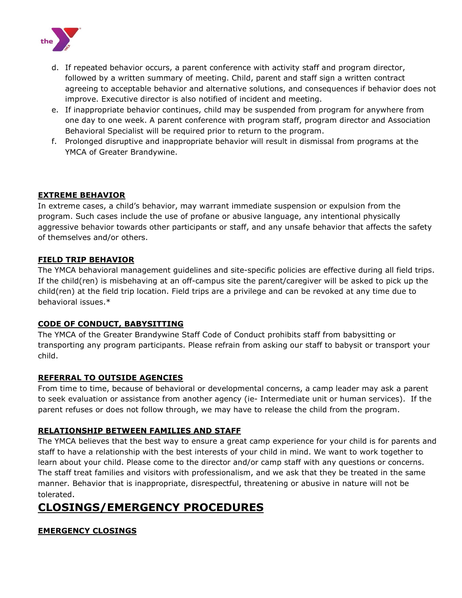

- d. If repeated behavior occurs, a parent conference with activity staff and program director, followed by a written summary of meeting. Child, parent and staff sign a written contract agreeing to acceptable behavior and alternative solutions, and consequences if behavior does not improve. Executive director is also notified of incident and meeting.
- e. If inappropriate behavior continues, child may be suspended from program for anywhere from one day to one week. A parent conference with program staff, program director and Association Behavioral Specialist will be required prior to return to the program.
- f. Prolonged disruptive and inappropriate behavior will result in dismissal from programs at the YMCA of Greater Brandywine.

#### **EXTREME BEHAVIOR**

In extreme cases, a child's behavior, may warrant immediate suspension or expulsion from the program. Such cases include the use of profane or abusive language, any intentional physically aggressive behavior towards other participants or staff, and any unsafe behavior that affects the safety of themselves and/or others.

#### **FIELD TRIP BEHAVIOR**

The YMCA behavioral management guidelines and site-specific policies are effective during all field trips. If the child(ren) is misbehaving at an off-campus site the parent/caregiver will be asked to pick up the child(ren) at the field trip location. Field trips are a privilege and can be revoked at any time due to behavioral issues.\*

#### **CODE OF CONDUCT, BABYSITTING**

The YMCA of the Greater Brandywine Staff Code of Conduct prohibits staff from babysitting or transporting any program participants. Please refrain from asking our staff to babysit or transport your child.

#### **REFERRAL TO OUTSIDE AGENCIES**

From time to time, because of behavioral or developmental concerns, a camp leader may ask a parent to seek evaluation or assistance from another agency (ie- Intermediate unit or human services). If the parent refuses or does not follow through, we may have to release the child from the program.

#### **RELATIONSHIP BETWEEN FAMILIES AND STAFF**

The YMCA believes that the best way to ensure a great camp experience for your child is for parents and staff to have a relationship with the best interests of your child in mind. We want to work together to learn about your child. Please come to the director and/or camp staff with any questions or concerns. The staff treat families and visitors with professionalism, and we ask that they be treated in the same manner. Behavior that is inappropriate, disrespectful, threatening or abusive in nature will not be tolerated.

### **CLOSINGS/EMERGENCY PROCEDURES**

#### **EMERGENCY CLOSINGS**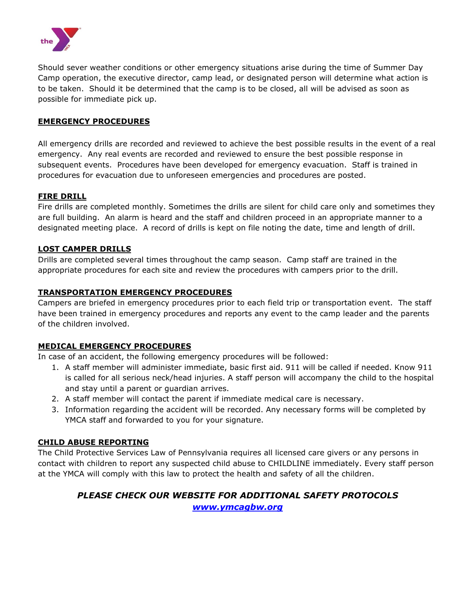

Should sever weather conditions or other emergency situations arise during the time of Summer Day Camp operation, the executive director, camp lead, or designated person will determine what action is to be taken. Should it be determined that the camp is to be closed, all will be advised as soon as possible for immediate pick up.

#### **EMERGENCY PROCEDURES**

All emergency drills are recorded and reviewed to achieve the best possible results in the event of a real emergency. Any real events are recorded and reviewed to ensure the best possible response in subsequent events. Procedures have been developed for emergency evacuation. Staff is trained in procedures for evacuation due to unforeseen emergencies and procedures are posted.

#### **FIRE DRILL**

Fire drills are completed monthly. Sometimes the drills are silent for child care only and sometimes they are full building. An alarm is heard and the staff and children proceed in an appropriate manner to a designated meeting place. A record of drills is kept on file noting the date, time and length of drill.

#### **LOST CAMPER DRILLS**

Drills are completed several times throughout the camp season. Camp staff are trained in the appropriate procedures for each site and review the procedures with campers prior to the drill.

#### **TRANSPORTATION EMERGENCY PROCEDURES**

Campers are briefed in emergency procedures prior to each field trip or transportation event. The staff have been trained in emergency procedures and reports any event to the camp leader and the parents of the children involved.

#### **MEDICAL EMERGENCY PROCEDURES**

In case of an accident, the following emergency procedures will be followed:

- 1. A staff member will administer immediate, basic first aid. 911 will be called if needed. Know 911 is called for all serious neck/head injuries. A staff person will accompany the child to the hospital and stay until a parent or guardian arrives.
- 2. A staff member will contact the parent if immediate medical care is necessary.
- 3. Information regarding the accident will be recorded. Any necessary forms will be completed by YMCA staff and forwarded to you for your signature.

#### **CHILD ABUSE REPORTING**

The Child Protective Services Law of Pennsylvania requires all licensed care givers or any persons in contact with children to report any suspected child abuse to CHILDLINE immediately. Every staff person at the YMCA will comply with this law to protect the health and safety of all the children.

#### *PLEASE CHECK OUR WEBSITE FOR ADDITIONAL SAFETY PROTOCOLS [www.ymcagbw.org](http://www.ymcagbw.org/)*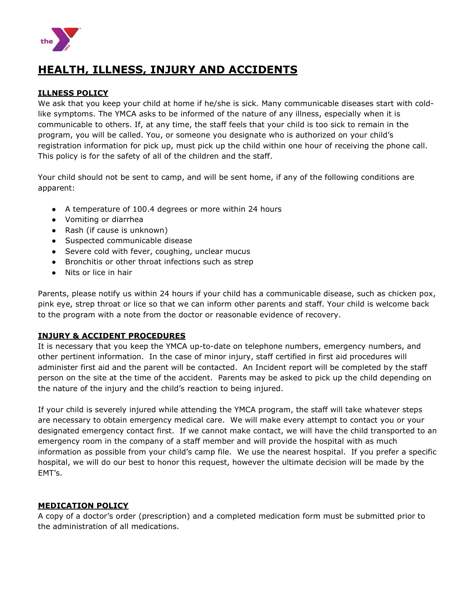

### **HEALTH, ILLNESS, INJURY AND ACCIDENTS**

#### **ILLNESS POLICY**

We ask that you keep your child at home if he/she is sick. Many communicable diseases start with coldlike symptoms. The YMCA asks to be informed of the nature of any illness, especially when it is communicable to others. If, at any time, the staff feels that your child is too sick to remain in the program, you will be called. You, or someone you designate who is authorized on your child's registration information for pick up, must pick up the child within one hour of receiving the phone call. This policy is for the safety of all of the children and the staff.

Your child should not be sent to camp, and will be sent home, if any of the following conditions are apparent:

- A temperature of 100.4 degrees or more within 24 hours
- Vomiting or diarrhea
- Rash (if cause is unknown)
- Suspected communicable disease
- Severe cold with fever, coughing, unclear mucus
- Bronchitis or other throat infections such as strep
- Nits or lice in hair

Parents, please notify us within 24 hours if your child has a communicable disease, such as chicken pox, pink eye, strep throat or lice so that we can inform other parents and staff. Your child is welcome back to the program with a note from the doctor or reasonable evidence of recovery.

#### **INJURY & ACCIDENT PROCEDURES**

It is necessary that you keep the YMCA up-to-date on telephone numbers, emergency numbers, and other pertinent information. In the case of minor injury, staff certified in first aid procedures will administer first aid and the parent will be contacted. An Incident report will be completed by the staff person on the site at the time of the accident. Parents may be asked to pick up the child depending on the nature of the injury and the child's reaction to being injured.

If your child is severely injured while attending the YMCA program, the staff will take whatever steps are necessary to obtain emergency medical care. We will make every attempt to contact you or your designated emergency contact first. If we cannot make contact, we will have the child transported to an emergency room in the company of a staff member and will provide the hospital with as much information as possible from your child's camp file. We use the nearest hospital. If you prefer a specific hospital, we will do our best to honor this request, however the ultimate decision will be made by the EMT's.

#### **MEDICATION POLICY**

A copy of a doctor's order (prescription) and a completed medication form must be submitted prior to the administration of all medications.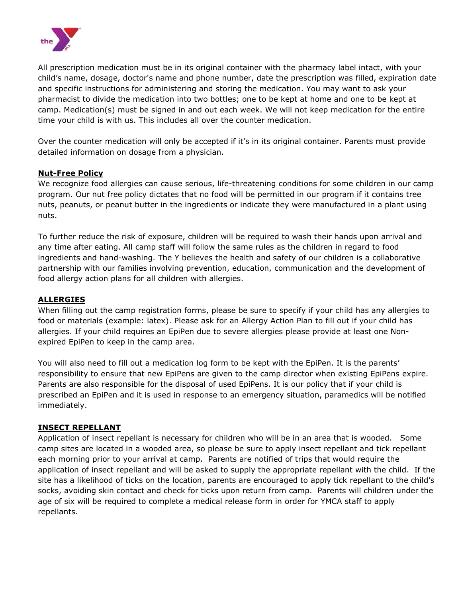

All prescription medication must be in its original container with the pharmacy label intact, with your child's name, dosage, doctor's name and phone number, date the prescription was filled, expiration date and specific instructions for administering and storing the medication. You may want to ask your pharmacist to divide the medication into two bottles; one to be kept at home and one to be kept at camp. Medication(s) must be signed in and out each week. We will not keep medication for the entire time your child is with us. This includes all over the counter medication.

Over the counter medication will only be accepted if it's in its original container. Parents must provide detailed information on dosage from a physician.

#### **Nut-Free Policy**

We recognize food allergies can cause serious, life-threatening conditions for some children in our camp program. Our nut free policy dictates that no food will be permitted in our program if it contains tree nuts, peanuts, or peanut butter in the ingredients or indicate they were manufactured in a plant using nuts.

To further reduce the risk of exposure, children will be required to wash their hands upon arrival and any time after eating. All camp staff will follow the same rules as the children in regard to food ingredients and hand-washing. The Y believes the health and safety of our children is a collaborative partnership with our families involving prevention, education, communication and the development of food allergy action plans for all children with allergies.

#### **ALLERGIES**

When filling out the camp registration forms, please be sure to specify if your child has any allergies to food or materials (example: latex). Please ask for an Allergy Action Plan to fill out if your child has allergies. If your child requires an EpiPen due to severe allergies please provide at least one Nonexpired EpiPen to keep in the camp area.

You will also need to fill out a medication log form to be kept with the EpiPen. It is the parents' responsibility to ensure that new EpiPens are given to the camp director when existing EpiPens expire. Parents are also responsible for the disposal of used EpiPens. It is our policy that if your child is prescribed an EpiPen and it is used in response to an emergency situation, paramedics will be notified immediately.

#### **INSECT REPELLANT**

Application of insect repellant is necessary for children who will be in an area that is wooded. Some camp sites are located in a wooded area, so please be sure to apply insect repellant and tick repellant each morning prior to your arrival at camp. Parents are notified of trips that would require the application of insect repellant and will be asked to supply the appropriate repellant with the child. If the site has a likelihood of ticks on the location, parents are encouraged to apply tick repellant to the child's socks, avoiding skin contact and check for ticks upon return from camp. Parents will children under the age of six will be required to complete a medical release form in order for YMCA staff to apply repellants.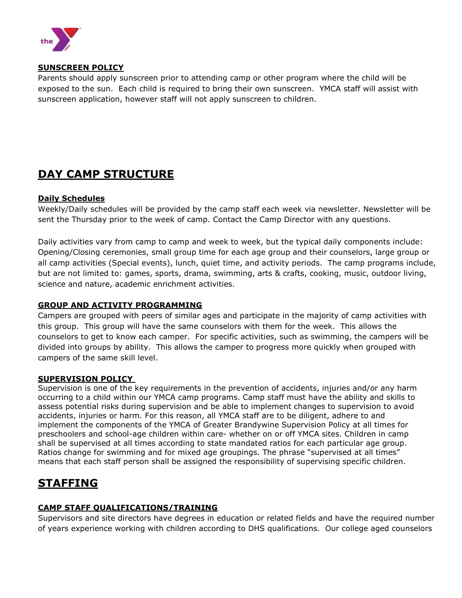

#### **SUNSCREEN POLICY**

Parents should apply sunscreen prior to attending camp or other program where the child will be exposed to the sun. Each child is required to bring their own sunscreen. YMCA staff will assist with sunscreen application, however staff will not apply sunscreen to children.

### **DAY CAMP STRUCTURE**

#### **Daily Schedules**

Weekly/Daily schedules will be provided by the camp staff each week via newsletter. Newsletter will be sent the Thursday prior to the week of camp. Contact the Camp Director with any questions.

Daily activities vary from camp to camp and week to week, but the typical daily components include: Opening/Closing ceremonies, small group time for each age group and their counselors, large group or all camp activities (Special events), lunch, quiet time, and activity periods. The camp programs include, but are not limited to: games, sports, drama, swimming, arts & crafts, cooking, music, outdoor living, science and nature, academic enrichment activities.

#### **GROUP AND ACTIVITY PROGRAMMING**

Campers are grouped with peers of similar ages and participate in the majority of camp activities with this group. This group will have the same counselors with them for the week. This allows the counselors to get to know each camper. For specific activities, such as swimming, the campers will be divided into groups by ability. This allows the camper to progress more quickly when grouped with campers of the same skill level.

#### **SUPERVISION POLICY**

Supervision is one of the key requirements in the prevention of accidents, injuries and/or any harm occurring to a child within our YMCA camp programs. Camp staff must have the ability and skills to assess potential risks during supervision and be able to implement changes to supervision to avoid accidents, injuries or harm. For this reason, all YMCA staff are to be diligent, adhere to and implement the components of the YMCA of Greater Brandywine Supervision Policy at all times for preschoolers and school-age children within care- whether on or off YMCA sites. Children in camp shall be supervised at all times according to state mandated ratios for each particular age group. Ratios change for swimming and for mixed age groupings. The phrase "supervised at all times" means that each staff person shall be assigned the responsibility of supervising specific children.

### **STAFFING**

#### **CAMP STAFF QUALIFICATIONS/TRAINING**

Supervisors and site directors have degrees in education or related fields and have the required number of years experience working with children according to DHS qualifications. Our college aged counselors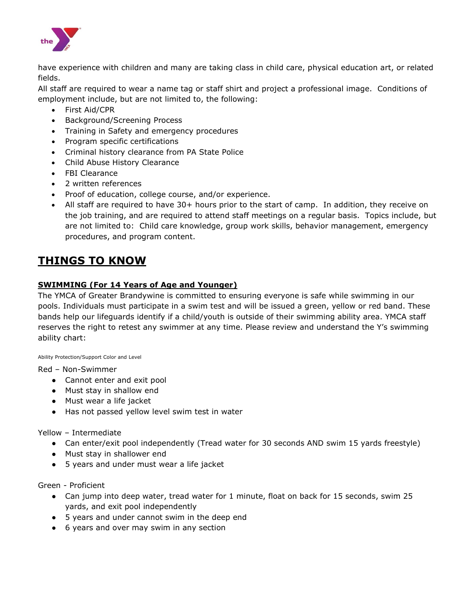

have experience with children and many are taking class in child care, physical education art, or related fields.

All staff are required to wear a name tag or staff shirt and project a professional image. Conditions of employment include, but are not limited to, the following:

- First Aid/CPR
- Background/Screening Process
- Training in Safety and emergency procedures
- Program specific certifications
- Criminal history clearance from PA State Police
- Child Abuse History Clearance
- FBI Clearance
- 2 written references
- Proof of education, college course, and/or experience.
- All staff are required to have 30+ hours prior to the start of camp. In addition, they receive on the job training, and are required to attend staff meetings on a regular basis. Topics include, but are not limited to: Child care knowledge, group work skills, behavior management, emergency procedures, and program content.

### **THINGS TO KNOW**

#### **SWIMMING (For 14 Years of Age and Younger)**

The YMCA of Greater Brandywine is committed to ensuring everyone is safe while swimming in our pools. Individuals must participate in a swim test and will be issued a green, yellow or red band. These bands help our lifeguards identify if a child/youth is outside of their swimming ability area. YMCA staff reserves the right to retest any swimmer at any time. Please review and understand the Y's swimming ability chart:

Ability Protection/Support Color and Level

Red – Non-Swimmer

- Cannot enter and exit pool
- Must stay in shallow end
- Must wear a life jacket
- Has not passed yellow level swim test in water

Yellow – Intermediate

- Can enter/exit pool independently (Tread water for 30 seconds AND swim 15 yards freestyle)
- Must stay in shallower end
- 5 years and under must wear a life jacket

Green - Proficient

- Can jump into deep water, tread water for 1 minute, float on back for 15 seconds, swim 25 yards, and exit pool independently
- 5 years and under cannot swim in the deep end
- 6 years and over may swim in any section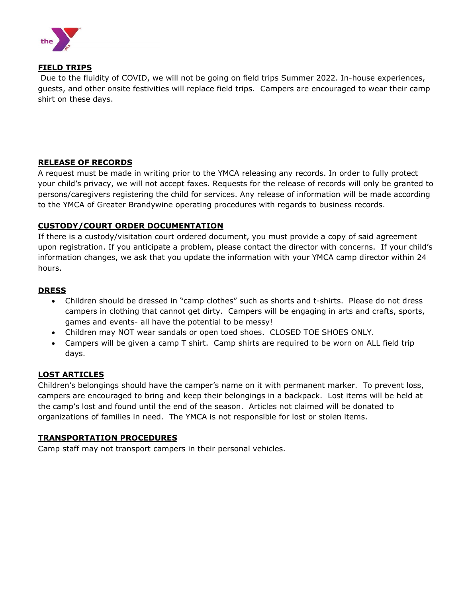

#### **FIELD TRIPS**

Due to the fluidity of COVID, we will not be going on field trips Summer 2022. In-house experiences, guests, and other onsite festivities will replace field trips. Campers are encouraged to wear their camp shirt on these days.

#### **RELEASE OF RECORDS**

A request must be made in writing prior to the YMCA releasing any records. In order to fully protect your child's privacy, we will not accept faxes. Requests for the release of records will only be granted to persons/caregivers registering the child for services. Any release of information will be made according to the YMCA of Greater Brandywine operating procedures with regards to business records.

#### **CUSTODY/COURT ORDER DOCUMENTATION**

If there is a custody/visitation court ordered document, you must provide a copy of said agreement upon registration. If you anticipate a problem, please contact the director with concerns. If your child's information changes, we ask that you update the information with your YMCA camp director within 24 hours.

#### **DRESS**

- Children should be dressed in "camp clothes" such as shorts and t-shirts. Please do not dress campers in clothing that cannot get dirty. Campers will be engaging in arts and crafts, sports, games and events- all have the potential to be messy!
- Children may NOT wear sandals or open toed shoes. CLOSED TOE SHOES ONLY.
- Campers will be given a camp T shirt. Camp shirts are required to be worn on ALL field trip days.

#### **LOST ARTICLES**

Children's belongings should have the camper's name on it with permanent marker. To prevent loss, campers are encouraged to bring and keep their belongings in a backpack. Lost items will be held at the camp's lost and found until the end of the season. Articles not claimed will be donated to organizations of families in need. The YMCA is not responsible for lost or stolen items.

#### **TRANSPORTATION PROCEDURES**

Camp staff may not transport campers in their personal vehicles.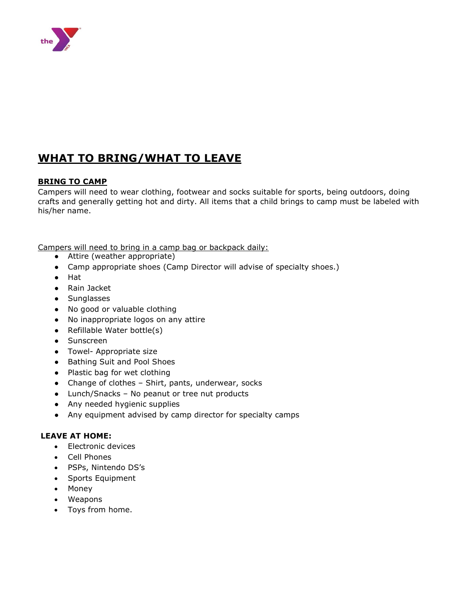

### **WHAT TO BRING/WHAT TO LEAVE**

#### **BRING TO CAMP**

Campers will need to wear clothing, footwear and socks suitable for sports, being outdoors, doing crafts and generally getting hot and dirty. All items that a child brings to camp must be labeled with his/her name.

Campers will need to bring in a camp bag or backpack daily:

- Attire (weather appropriate)
- Camp appropriate shoes (Camp Director will advise of specialty shoes.)
- Hat
- Rain Jacket
- Sunglasses
- No good or valuable clothing
- No inappropriate logos on any attire
- Refillable Water bottle(s)
- Sunscreen
- Towel- Appropriate size
- Bathing Suit and Pool Shoes
- Plastic bag for wet clothing
- Change of clothes Shirt, pants, underwear, socks
- Lunch/Snacks No peanut or tree nut products
- Any needed hygienic supplies
- Any equipment advised by camp director for specialty camps

#### **LEAVE AT HOME:**

- Electronic devices
- Cell Phones
- PSPs, Nintendo DS's
- Sports Equipment
- Money
- Weapons
- Toys from home.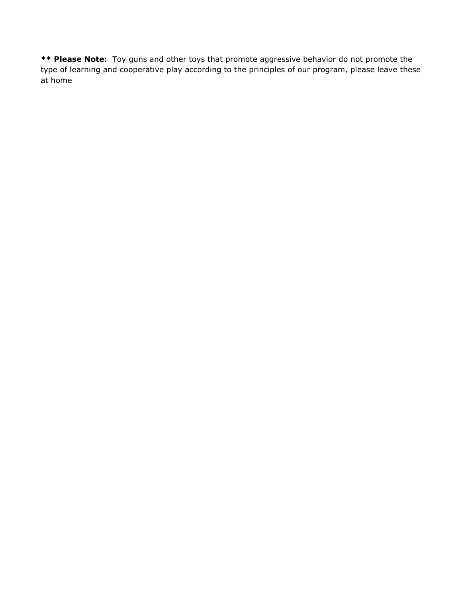**\*\* Please Note:** Toy guns and other toys that promote aggressive behavior do not promote the type of learning and cooperative play according to the principles of our program, please leave these at home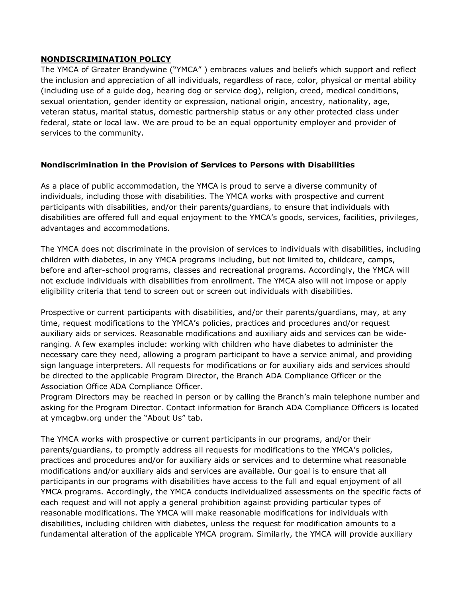#### **NONDISCRIMINATION POLICY**

The YMCA of Greater Brandywine ("YMCA" ) embraces values and beliefs which support and reflect the inclusion and appreciation of all individuals, regardless of race, color, physical or mental ability (including use of a guide dog, hearing dog or service dog), religion, creed, medical conditions, sexual orientation, gender identity or expression, national origin, ancestry, nationality, age, veteran status, marital status, domestic partnership status or any other protected class under federal, state or local law. We are proud to be an equal opportunity employer and provider of services to the community.

#### **Nondiscrimination in the Provision of Services to Persons with Disabilities**

As a place of public accommodation, the YMCA is proud to serve a diverse community of individuals, including those with disabilities. The YMCA works with prospective and current participants with disabilities, and/or their parents/guardians, to ensure that individuals with disabilities are offered full and equal enjoyment to the YMCA's goods, services, facilities, privileges, advantages and accommodations.

The YMCA does not discriminate in the provision of services to individuals with disabilities, including children with diabetes, in any YMCA programs including, but not limited to, childcare, camps, before and after-school programs, classes and recreational programs. Accordingly, the YMCA will not exclude individuals with disabilities from enrollment. The YMCA also will not impose or apply eligibility criteria that tend to screen out or screen out individuals with disabilities.

Prospective or current participants with disabilities, and/or their parents/guardians, may, at any time, request modifications to the YMCA's policies, practices and procedures and/or request auxiliary aids or services. Reasonable modifications and auxiliary aids and services can be wideranging. A few examples include: working with children who have diabetes to administer the necessary care they need, allowing a program participant to have a service animal, and providing sign language interpreters. All requests for modifications or for auxiliary aids and services should be directed to the applicable Program Director, the Branch ADA Compliance Officer or the Association Office ADA Compliance Officer.

Program Directors may be reached in person or by calling the Branch's main telephone number and asking for the Program Director. Contact information for Branch ADA Compliance Officers is located at ymcagbw.org under the "About Us" tab.

The YMCA works with prospective or current participants in our programs, and/or their parents/guardians, to promptly address all requests for modifications to the YMCA's policies, practices and procedures and/or for auxiliary aids or services and to determine what reasonable modifications and/or auxiliary aids and services are available. Our goal is to ensure that all participants in our programs with disabilities have access to the full and equal enjoyment of all YMCA programs. Accordingly, the YMCA conducts individualized assessments on the specific facts of each request and will not apply a general prohibition against providing particular types of reasonable modifications. The YMCA will make reasonable modifications for individuals with disabilities, including children with diabetes, unless the request for modification amounts to a fundamental alteration of the applicable YMCA program. Similarly, the YMCA will provide auxiliary